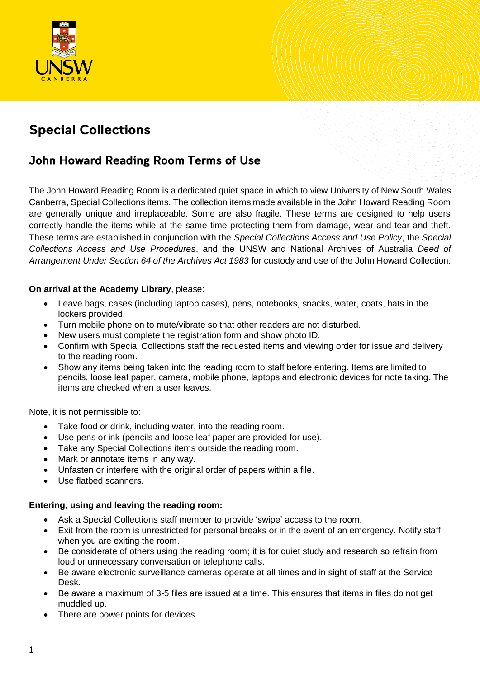

# **Special Collections**

# John Howard Reading Room Terms of Use

The John Howard Reading Room is a dedicated quiet space in which to view University of New South Wales Canberra, Special Collections items. The collection items made available in the John Howard Reading Room are generally unique and irreplaceable. Some are also fragile. These terms are designed to help users correctly handle the items while at the same time protecting them from damage, wear and tear and theft. These terms are established in conjunction with the *Special Collections Access and Use Policy*, the *Special Collections Access and Use Procedures*, and the UNSW and National Archives of Australia *Deed of Arrangement Under Section 64 of the Archives Act 1983* for custody and use of the John Howard Collection.

#### **On arrival at the Academy Library**, please:

- Leave bags, cases (including laptop cases), pens, notebooks, snacks, water, coats, hats in the lockers provided.
- Turn mobile phone on to mute/vibrate so that other readers are not disturbed.
- New users must complete the registration form and show photo ID.
- Confirm with Special Collections staff the requested items and viewing order for issue and delivery to the reading room.
- Show any items being taken into the reading room to staff before entering. Items are limited to pencils, loose leaf paper, camera, mobile phone, laptops and electronic devices for note taking. The items are checked when a user leaves.

Note, it is not permissible to:

- Take food or drink, including water, into the reading room.
- Use pens or ink (pencils and loose leaf paper are provided for use).
- Take any Special Collections items outside the reading room.
- Mark or annotate items in any way.
- Unfasten or interfere with the original order of papers within a file.
- Use flatbed scanners.

## **Entering, using and leaving the reading room:**

- Ask a Special Collections staff member to provide 'swipe' access to the room.
- Exit from the room is unrestricted for personal breaks or in the event of an emergency. Notify staff when you are exiting the room.
- Be considerate of others using the reading room; it is for quiet study and research so refrain from loud or unnecessary conversation or telephone calls.
- Be aware electronic surveillance cameras operate at all times and in sight of staff at the Service Desk.
- Be aware a maximum of 3-5 files are issued at a time. This ensures that items in files do not get muddled up.
- There are power points for devices.